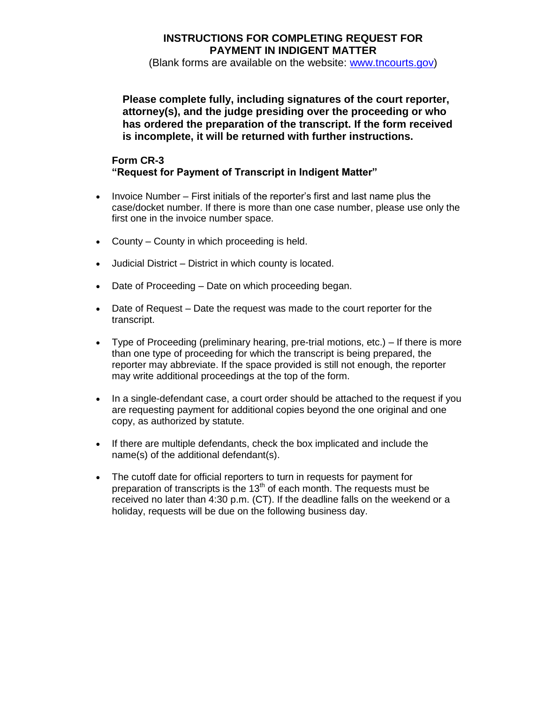## **INSTRUCTIONS FOR COMPLETING REQUEST FOR PAYMENT IN INDIGENT MATTER**

(Blank forms are available on the website: [www.tncourts.gov\)](http://www.tsc.state.tn.us/)

**Please complete fully, including signatures of the court reporter, attorney(s), and the judge presiding over the proceeding or who has ordered the preparation of the transcript. If the form received is incomplete, it will be returned with further instructions.**

## **Form CR-3 "Request for Payment of Transcript in Indigent Matter"**

- Invoice Number First initials of the reporter's first and last name plus the case/docket number. If there is more than one case number, please use only the first one in the invoice number space.
- County County in which proceeding is held.
- Judicial District District in which county is located.
- Date of Proceeding Date on which proceeding began.
- Date of Request Date the request was made to the court reporter for the transcript.
- Type of Proceeding (preliminary hearing, pre-trial motions, etc.) If there is more than one type of proceeding for which the transcript is being prepared, the reporter may abbreviate. If the space provided is still not enough, the reporter may write additional proceedings at the top of the form.
- In a single-defendant case, a court order should be attached to the request if you are requesting payment for additional copies beyond the one original and one copy, as authorized by statute.
- If there are multiple defendants, check the box implicated and include the name(s) of the additional defendant(s).
- The cutoff date for official reporters to turn in requests for payment for preparation of transcripts is the  $13<sup>th</sup>$  of each month. The requests must be received no later than 4:30 p.m. (CT). If the deadline falls on the weekend or a holiday, requests will be due on the following business day.